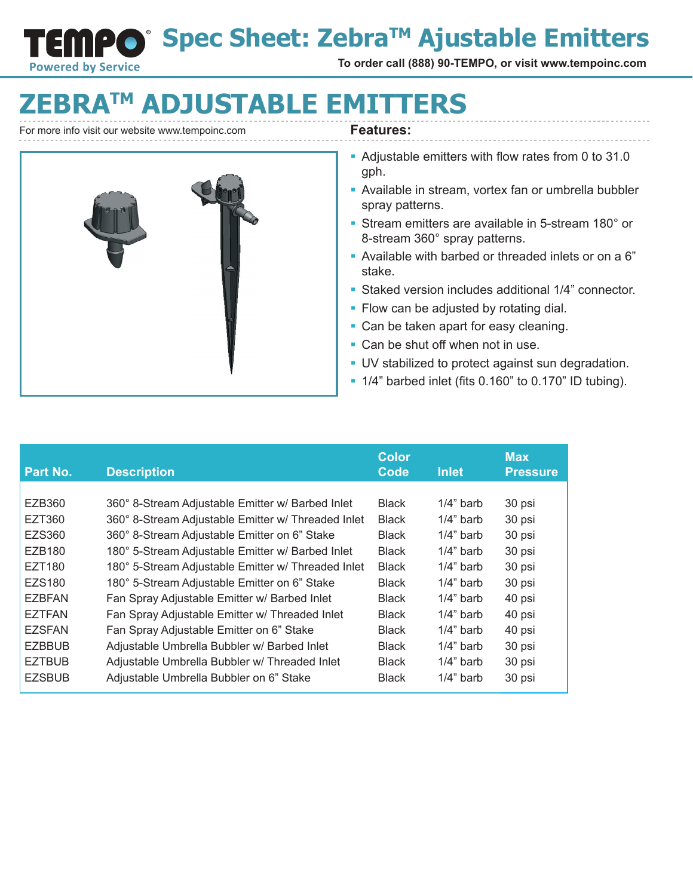**Spec Sheet: ZebraTM Ajustable Emitters**

**To order call (888) 90-TEMPO, or visit www.tempoinc.com**

# **EBRATM ADJUSTABLE EMITTERS**

For more info visit our website www.tempoinc.com **Features:** 

**NPC** 

**Powered by Service** 

- Adjustable emitters with flow rates from 0 to 31.0 gph.
- Available in stream, vortex fan or umbrella bubbler spray patterns.
- Stream emitters are available in 5-stream 180° or 8-stream 360° spray patterns.
- § Available with barbed or threaded inlets or on a 6" stake.
- § Staked version includes additional 1/4" connector.
- Flow can be adjusted by rotating dial.
- Can be taken apart for easy cleaning.
- Can be shut off when not in use.
- § UV stabilized to protect against sun degradation.
- § 1/4" barbed inlet (fits 0.160" to 0.170" ID tubing).

| Part No.      | <b>Description</b>                                 | <b>Color</b><br>Code | <b>Inlet</b> | <b>Max</b><br><b>Pressure</b> |
|---------------|----------------------------------------------------|----------------------|--------------|-------------------------------|
|               |                                                    |                      |              |                               |
| EZB360        | 360° 8-Stream Adjustable Emitter w/ Barbed Inlet   | <b>Black</b>         | $1/4$ " barb | 30 psi                        |
| EZT360        | 360° 8-Stream Adjustable Emitter w/ Threaded Inlet | <b>Black</b>         | $1/4$ " barb | 30 psi                        |
| EZS360        | 360° 8-Stream Adjustable Emitter on 6" Stake       | <b>Black</b>         | $1/4$ " barb | 30 psi                        |
| EZB180        | 180° 5-Stream Adjustable Emitter w/ Barbed Inlet   | <b>Black</b>         | $1/4$ " barb | 30 psi                        |
| EZT180        | 180° 5-Stream Adjustable Emitter w/ Threaded Inlet | <b>Black</b>         | $1/4$ " barb | 30 psi                        |
| <b>EZS180</b> | 180° 5-Stream Adjustable Emitter on 6" Stake       | <b>Black</b>         | $1/4$ " barb | 30 psi                        |
| <b>EZBFAN</b> | Fan Spray Adjustable Emitter w/ Barbed Inlet       | <b>Black</b>         | $1/4$ " barb | 40 psi                        |
| <b>EZTFAN</b> | Fan Spray Adjustable Emitter w/ Threaded Inlet     | <b>Black</b>         | $1/4$ " barb | 40 psi                        |
| <b>EZSFAN</b> | Fan Spray Adjustable Emitter on 6" Stake           | <b>Black</b>         | $1/4$ " barb | 40 psi                        |
| <b>EZBBUB</b> | Adjustable Umbrella Bubbler w/ Barbed Inlet        | <b>Black</b>         | $1/4$ " barb | 30 psi                        |
| <b>EZTBUB</b> | Adjustable Umbrella Bubbler w/ Threaded Inlet      | <b>Black</b>         | $1/4$ " barb | 30 psi                        |
| <b>EZSBUB</b> | Adjustable Umbrella Bubbler on 6" Stake            | <b>Black</b>         | $1/4$ " barb | 30 psi                        |